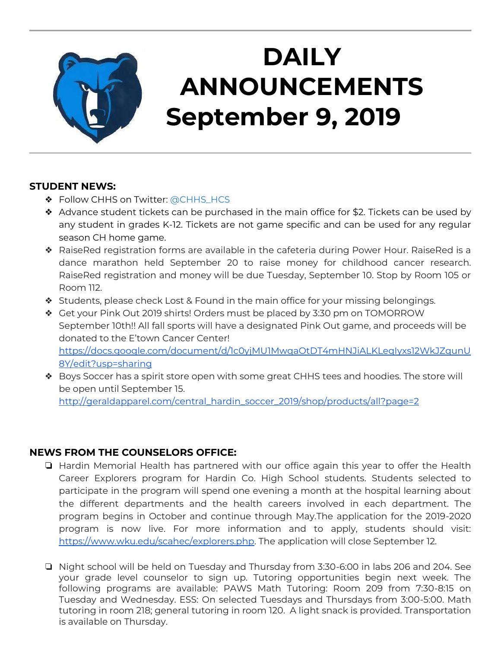

## **DAILY ANNOUNCEMENTS September 9, 2019**

## **STUDENT NEWS:**

- ◆ Follow CHHS on Twitter: [@CHHS\\_HCS](https://twitter.com/CHHS_HCS)
- ❖ Advance student tickets can be purchased in the main office for \$2. Tickets can be used by any student in grades K-12. Tickets are not game specific and can be used for any regular season CH home game.
- ❖ RaiseRed registration forms are available in the cafeteria during Power Hour. RaiseRed is a dance marathon held September 20 to raise money for childhood cancer research. RaiseRed registration and money will be due Tuesday, September 10. Stop by Room 105 or Room 112.
- ❖ Students, please check Lost & Found in the main office for your missing belongings.
- ❖ Get your Pink Out 2019 shirts! Orders must be placed by 3:30 pm on TOMORROW September 10th!! All fall sports will have a designated Pink Out game, and proceeds will be donated to the E'town Cancer Center! [https://docs.google.com/document/d/1c0yjMU1MwqaOtDT4mHNJiALKLeqIyxs12WkJZqunU](https://docs.google.com/document/d/1c0yjMU1MwqaOtDT4mHNJiALKLeqIyxs12WkJZqunU8Y/edit?usp=sharing) [8Y/edit?usp=sharing](https://docs.google.com/document/d/1c0yjMU1MwqaOtDT4mHNJiALKLeqIyxs12WkJZqunU8Y/edit?usp=sharing)
- ❖ Boys Soccer has a spirit store open with some great CHHS tees and hoodies. The store will be open until September 15. [http://geraldapparel.com/central\\_hardin\\_soccer\\_2019/shop/products/all?page=2](http://geraldapparel.com/central_hardin_soccer_2019/shop/products/all?page=2)

## **NEWS FROM THE COUNSELORS OFFICE:**

- ❏ Hardin Memorial Health has partnered with our office again this year to offer the Health Career Explorers program for Hardin Co. High School students. Students selected to participate in the program will spend one evening a month at the hospital learning about the different departments and the health careers involved in each department. The program begins in October and continue through May.The application for the 2019-2020 program is now live. For more information and to apply, students should visit: [https://www.wku.edu/scahec/explorers.php.](https://www.wku.edu/scahec/explorers.php) The application will close September 12.
- ❏ Night school will be held on Tuesday and Thursday from 3:30-6:00 in labs 206 and 204. See your grade level counselor to sign up. Tutoring opportunities begin next week. The following programs are available: PAWS Math Tutoring: Room 209 from 7:30-8:15 on Tuesday and Wednesday. ESS: On selected Tuesdays and Thursdays from 3:00-5:00. Math tutoring in room 218; general tutoring in room 120. A light snack is provided. Transportation is available on Thursday.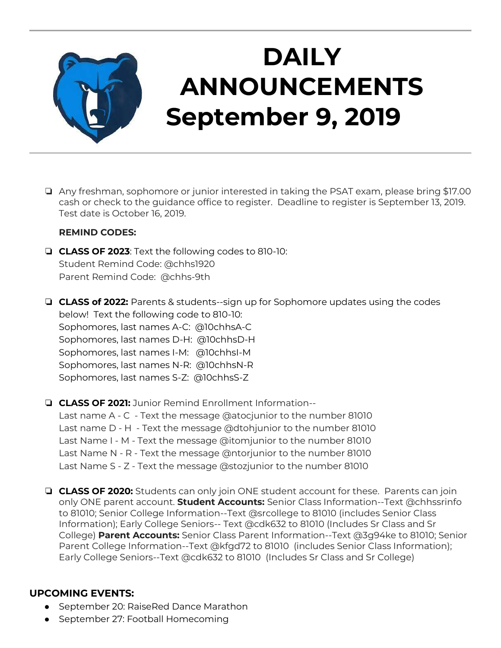

## **DAILY ANNOUNCEMENTS September 9, 2019**

❏ Any freshman, sophomore or junior interested in taking the PSAT exam, please bring \$17.00 cash or check to the guidance office to register. Deadline to register is September 13, 2019. Test date is October 16, 2019.

#### **REMIND CODES:**

- ❏ **CLASS OF 2023**: Text the following codes to 810-10: Student Remind Code: @chhs1920 Parent Remind Code: @chhs-9th
- ❏ **CLASS of 2022:** Parents & students--sign up for Sophomore updates using the codes below! Text the following code to 810-10: Sophomores, last names A-C: @10chhsA-C Sophomores, last names D-H: @10chhsD-H Sophomores, last names I-M: @10chhsI-M Sophomores, last names N-R: @10chhsN-R Sophomores, last names S-Z: @10chhsS-Z
- ❏ **CLASS OF 2021:** Junior Remind Enrollment Information-- Last name A - C - Text the message @atocjunior to the number 81010 Last name D - H - Text the message @dtohjunior to the number 81010 Last Name I - M - Text the message @itomjunior to the number 81010 Last Name N - R - Text the message @ntorjunior to the number 81010 Last Name S - Z - Text the message @stozjunior to the number 81010
- ❏ **CLASS OF 2020:** Students can only join ONE student account for these. Parents can join only ONE parent account. **Student Accounts:** Senior Class Information--Text @chhssrinfo to 81010; Senior College Information--Text @srcollege to 81010 (includes Senior Class Information); Early College Seniors-- Text @cdk632 to 81010 (Includes Sr Class and Sr College) **Parent Accounts:** Senior Class Parent Information--Text @3g94ke to 81010; Senior Parent College Information--Text @kfgd72 to 81010 (includes Senior Class Information); Early College Seniors--Text @cdk632 to 81010 (Includes Sr Class and Sr College)

## **UPCOMING EVENTS:**

- September 20: RaiseRed Dance Marathon
- September 27: Football Homecoming